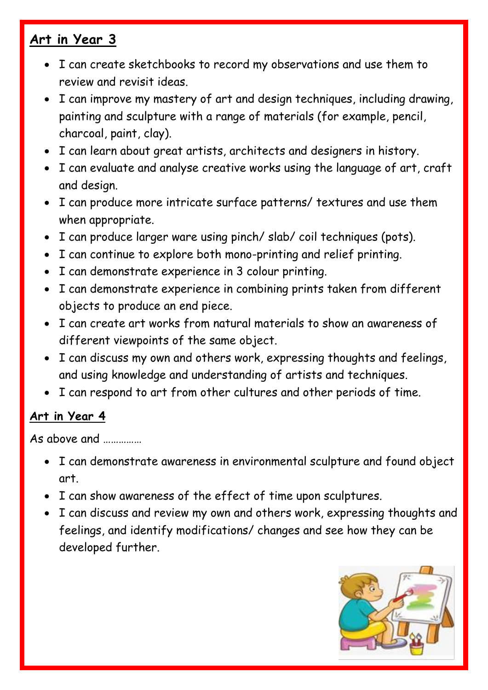## **Art in Year 3**

- I can create sketchbooks to record my observations and use them to review and revisit ideas.
- I can improve my mastery of art and design techniques, including drawing, painting and sculpture with a range of materials (for example, pencil, charcoal, paint, clay).
- I can learn about great artists, architects and designers in history.
- I can evaluate and analyse creative works using the language of art, craft and design.
- I can produce more intricate surface patterns/ textures and use them when appropriate.
- I can produce larger ware using pinch/ slab/ coil techniques (pots).
- I can continue to explore both mono-printing and relief printing.
- I can demonstrate experience in 3 colour printing.
- I can demonstrate experience in combining prints taken from different objects to produce an end piece.
- I can create art works from natural materials to show an awareness of different viewpoints of the same object.
- I can discuss my own and others work, expressing thoughts and feelings, and using knowledge and understanding of artists and techniques.
- I can respond to art from other cultures and other periods of time.

## **Art in Year 4**

As above and ……………

- I can demonstrate awareness in environmental sculpture and found object art.
- I can show awareness of the effect of time upon sculptures.
- I can discuss and review my own and others work, expressing thoughts and feelings, and identify modifications/ changes and see how they can be developed further.